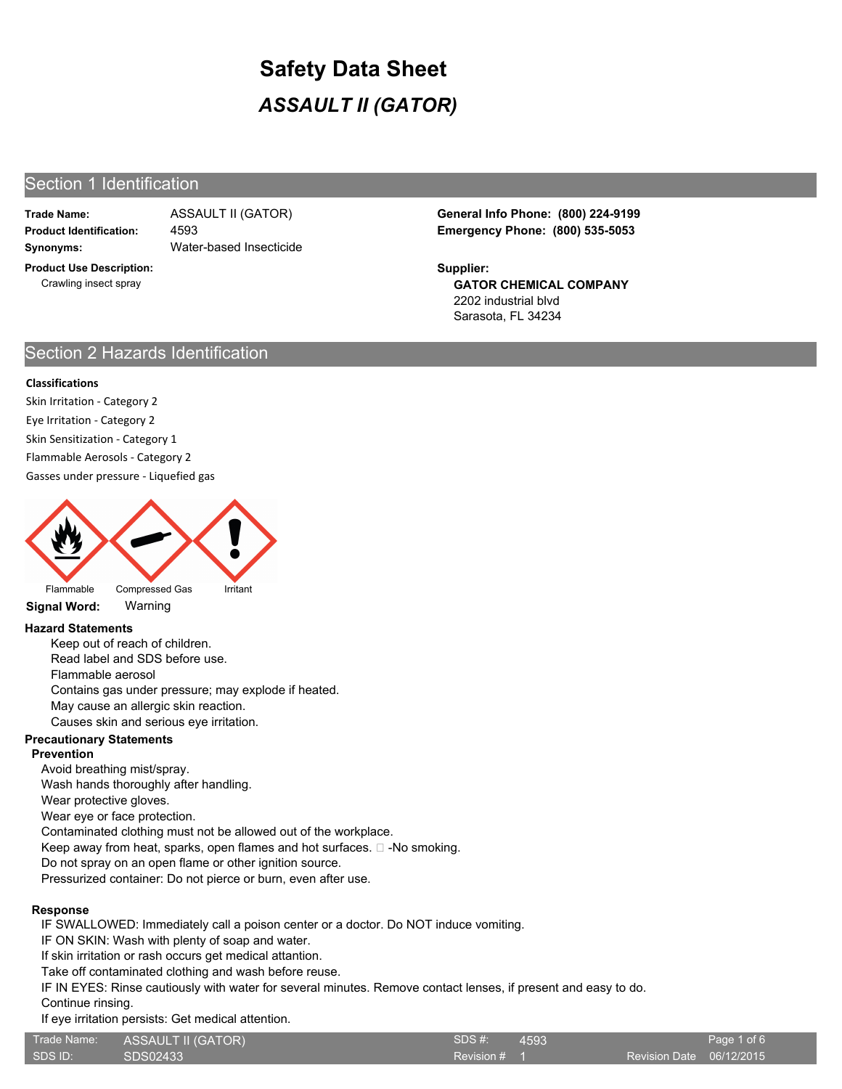## Section 1 Identification

**Trade Name:**

**Synonyms:** Water-based Insecticide 4593

**Product Use Description:** Crawling insect spray

**Product Identification: Emergency Phone: (800) 535-5053** ASSAULT II (GATOR) **General Info Phone: (800) 224-9199**

> **GATOR CHEMICAL COMPANY** 2202 industrial blvd Sarasota, FL 34234 **Supplier:**

## Section 2 Hazards Identification

#### **Classifications**

Skin Irritation - Category 2 Eye Irritation - Category 2 Skin Sensitization - Category 1 Flammable Aerosols - Category 2

Gasses under pressure - Liquefied gas



**Signal Word:** Warning

### **Hazard Statements**

Keep out of reach of children. Read label and SDS before use. Flammable aerosol Contains gas under pressure; may explode if heated. May cause an allergic skin reaction. Causes skin and serious eye irritation.

#### **Precautionary Statements**

#### **Prevention**

Avoid breathing mist/spray.

Wash hands thoroughly after handling.

Wear protective gloves.

Wear eye or face protection.

Contaminated clothing must not be allowed out of the workplace.

Keep away from heat, sparks, open flames and hot surfaces.  $\square$  -No smoking.

Do not spray on an open flame or other ignition source.

Pressurized container: Do not pierce or burn, even after use.

#### **Response**

IF SWALLOWED: Immediately call a poison center or a doctor. Do NOT induce vomiting.

IF ON SKIN: Wash with plenty of soap and water.

If skin irritation or rash occurs get medical attantion.

Take off contaminated clothing and wash before reuse.

IF IN EYES: Rinse cautiously with water for several minutes. Remove contact lenses, if present and easy to do.

Continue rinsing.

If eye irritation persists: Get medical attention.

| Trade Name: | ASSAULT II (GATOR) | SDS#1      | 4593 |
|-------------|--------------------|------------|------|
| SDS ID:     | SDS02433           | Revision # |      |
|             |                    |            |      |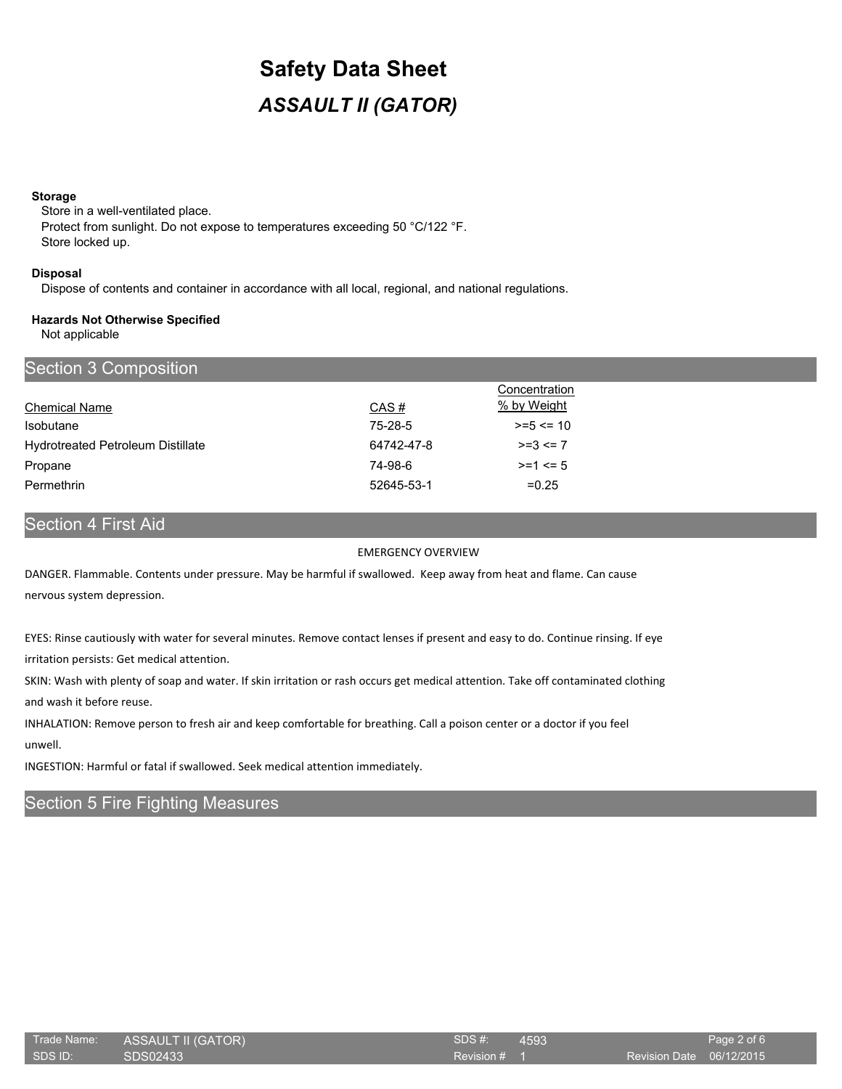#### **Storage**

Store in a well-ventilated place. Protect from sunlight. Do not expose to temperatures exceeding 50 °C/122 °F. Store locked up.

#### **Disposal**

Dispose of contents and container in accordance with all local, regional, and national regulations.

#### **Hazards Not Otherwise Specified**

Not applicable

| Section 3 Composition                    |            |               |
|------------------------------------------|------------|---------------|
|                                          |            | Concentration |
| <b>Chemical Name</b>                     | CAS#       | % by Weight   |
| <b>Isobutane</b>                         | 75-28-5    | $>= 5 \le 10$ |
| <b>Hydrotreated Petroleum Distillate</b> | 64742-47-8 | $>=3<=7$      |
| Propane                                  | 74-98-6    | $>= 1 \le 5$  |
| Permethrin                               | 52645-53-1 | $=0.25$       |

# Section 4 First Aid

#### EMERGENCY OVERVIEW

DANGER. Flammable. Contents under pressure. May be harmful if swallowed. Keep away from heat and flame. Can cause nervous system depression.

EYES: Rinse cautiously with water for several minutes. Remove contact lenses if present and easy to do. Continue rinsing. If eye irritation persists: Get medical attention.

SKIN: Wash with plenty of soap and water. If skin irritation or rash occurs get medical attention. Take off contaminated clothing and wash it before reuse.

INHALATION: Remove person to fresh air and keep comfortable for breathing. Call a poison center or a doctor if you feel

unwell.

INGESTION: Harmful or fatal if swallowed. Seek medical attention immediately.

# Section 5 Fire Fighting Measures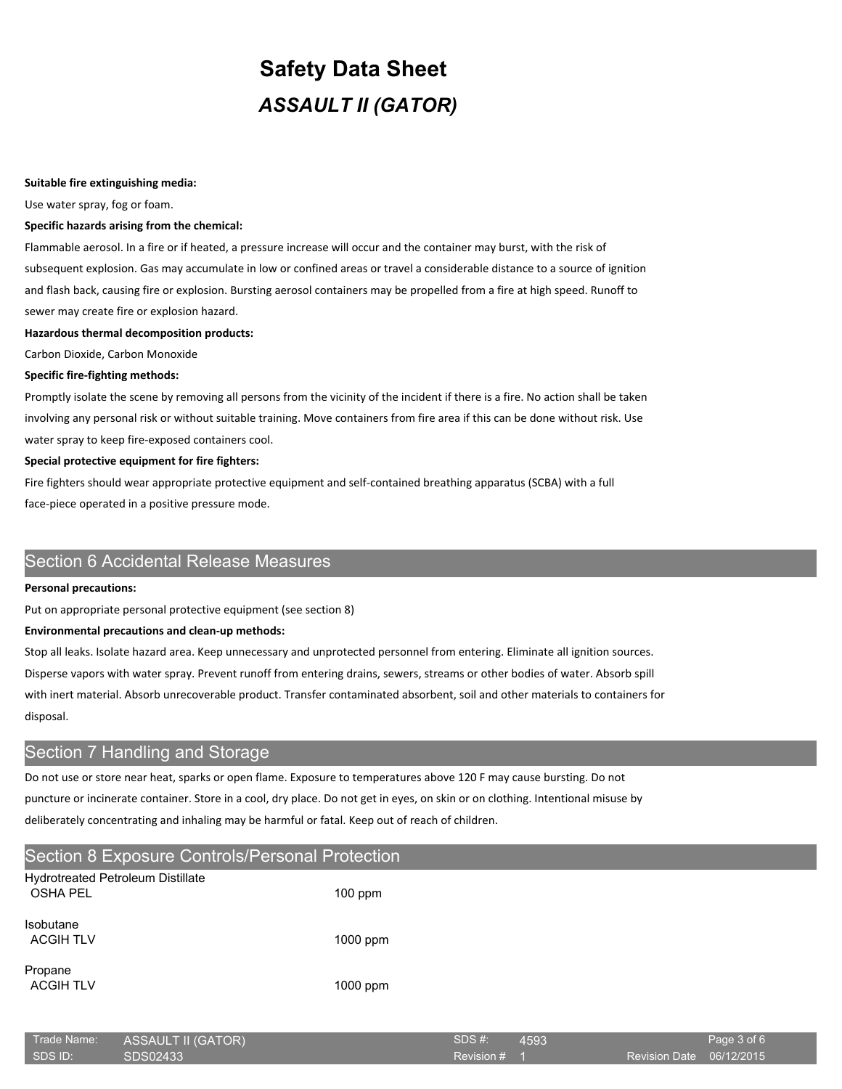#### **Suitable fire extinguishing media:**

Use water spray, fog or foam.

#### **Specific hazards arising from the chemical:**

Flammable aerosol. In a fire or if heated, a pressure increase will occur and the container may burst, with the risk of subsequent explosion. Gas may accumulate in low or confined areas or travel a considerable distance to a source of ignition and flash back, causing fire or explosion. Bursting aerosol containers may be propelled from a fire at high speed. Runoff to sewer may create fire or explosion hazard.

#### **Hazardous thermal decomposition products:**

Carbon Dioxide, Carbon Monoxide

#### **Specific fire-fighting methods:**

Promptly isolate the scene by removing all persons from the vicinity of the incident if there is a fire. No action shall be taken involving any personal risk or without suitable training. Move containers from fire area if this can be done without risk. Use water spray to keep fire-exposed containers cool.

#### **Special protective equipment for fire fighters:**

Fire fighters should wear appropriate protective equipment and self-contained breathing apparatus (SCBA) with a full face-piece operated in a positive pressure mode.

# Section 6 Accidental Release Measures

#### **Personal precautions:**

Put on appropriate personal protective equipment (see section 8)

#### **Environmental precautions and clean-up methods:**

Stop all leaks. Isolate hazard area. Keep unnecessary and unprotected personnel from entering. Eliminate all ignition sources. Disperse vapors with water spray. Prevent runoff from entering drains, sewers, streams or other bodies of water. Absorb spill with inert material. Absorb unrecoverable product. Transfer contaminated absorbent, soil and other materials to containers for disposal.

## Section 7 Handling and Storage

Do not use or store near heat, sparks or open flame. Exposure to temperatures above 120 F may cause bursting. Do not puncture or incinerate container. Store in a cool, dry place. Do not get in eyes, on skin or on clothing. Intentional misuse by deliberately concentrating and inhaling may be harmful or fatal. Keep out of reach of children.

## Section 8 Exposure Controls/Personal Protection

| Hydrotreated Petroleum Distillate<br><b>OSHA PEL</b> | $100$ ppm |
|------------------------------------------------------|-----------|
| <b>Isobutane</b><br><b>ACGIH TLV</b>                 | 1000 ppm  |
| Propane<br><b>ACGIH TLV</b>                          | 1000 ppm  |

| Trade Name: | ASSAULT II (GATOR) | SDS #:       | 4593 |                          | Page 3 of 6 |
|-------------|--------------------|--------------|------|--------------------------|-------------|
| SDS ID:     | SDS02433           | Revision # 1 |      | Revision Date 06/12/2015 |             |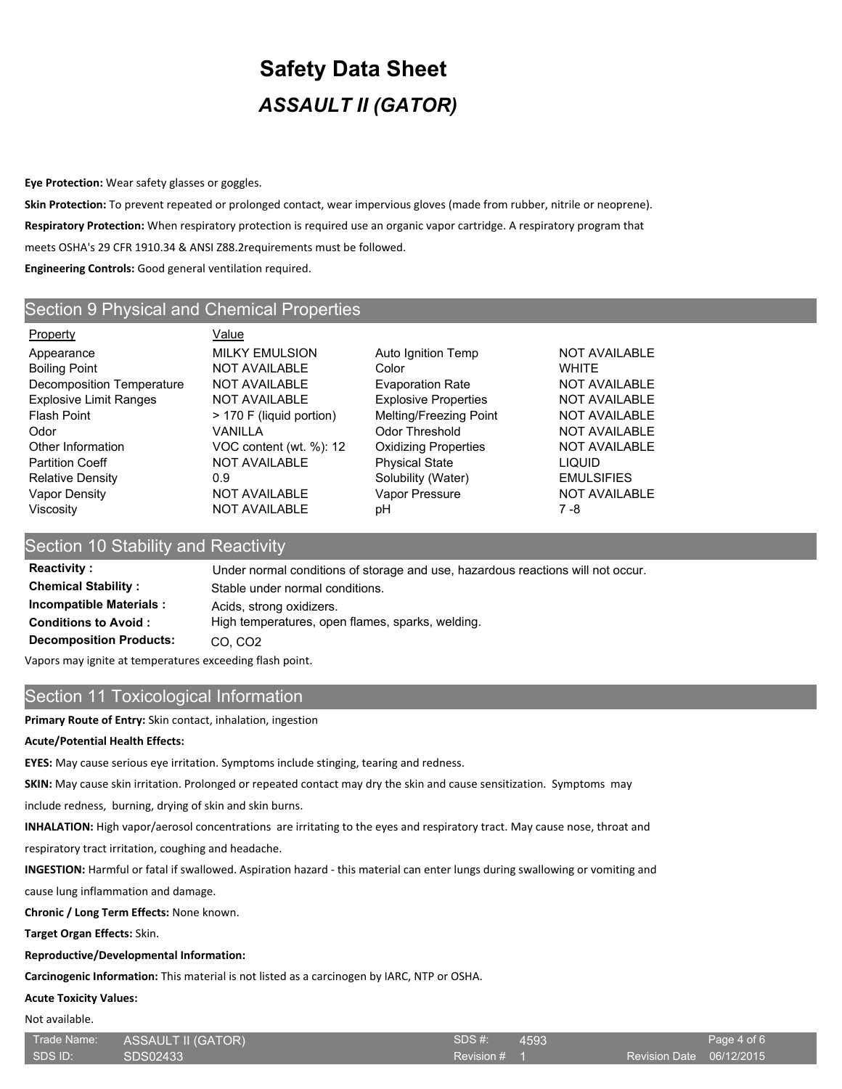**Eye Protection:** Wear safety glasses or goggles.

**Skin Protection:** To prevent repeated or prolonged contact, wear impervious gloves (made from rubber, nitrile or neoprene). **Respiratory Protection:** When respiratory protection is required use an organic vapor cartridge. A respiratory program that meets OSHA's 29 CFR 1910.34 & ANSI Z88.2requirements must be followed.

**Engineering Controls:** Good general ventilation required.

## Section 9 Physical and Chemical Properties

Property **Value** Appearance **MILKY EMULSION** Auto Ignition Temp NOT AVAILABLE Boiling Point **NOT AVAILABLE** Color **COLOR** WHITE Decomposition Temperature NOT AVAILABLE Evaporation Rate NOT AVAILABLE Explosive Limit Ranges NOT AVAILABLE Explosive Properties NOT AVAILABLE Flash Point **Finally Accord Finally Accord Point** Flash Point **NOT AVAILABLE** Odor VANILLA Odor Threshold NOT AVAILABLE Other Information **VOC content (wt. %): 12** Oxidizing Properties **NOT AVAILABLE** Partition Coeff **NOT AVAILABLE** Physical State **LIQUID** Relative Density  $0.9$  0.9 Solubility (Water) EMULSIFIES Vapor Density **NOT AVAILABLE** Vapor Pressure NOT AVAILABLE Viscosity NOT AVAILABLE pH 7 -8

## Section 10 Stability and Reactivity

Reactivity : Under normal conditions of storage and use, hazardous reactions will not occur. **Chemical Stability :** Stable under normal conditions. **Incompatible Materials :** Acids, strong oxidizers. **Conditions to Avoid :** High temperatures, open flames, sparks, welding. **Decomposition Products: CO, CO2** 

Vapors may ignite at temperatures exceeding flash point.

## Section 11 Toxicological Information

**Primary Route of Entry:** Skin contact, inhalation, ingestion

### **Acute/Potential Health Effects:**

**EYES:** May cause serious eye irritation. Symptoms include stinging, tearing and redness.

**SKIN:** May cause skin irritation. Prolonged or repeated contact may dry the skin and cause sensitization. Symptoms may

include redness, burning, drying of skin and skin burns.

**INHALATION:** High vapor/aerosol concentrations are irritating to the eyes and respiratory tract. May cause nose, throat and

respiratory tract irritation, coughing and headache.

**INGESTION:** Harmful or fatal if swallowed. Aspiration hazard - this material can enter lungs during swallowing or vomiting and

cause lung inflammation and damage.

**Chronic / Long Term Effects:** None known.

**Target Organ Effects:** Skin.

## **Reproductive/Developmental Information:**

**Carcinogenic Information:** This material is not listed as a carcinogen by IARC, NTP or OSHA.

## **Acute Toxicity Values:**

Not available.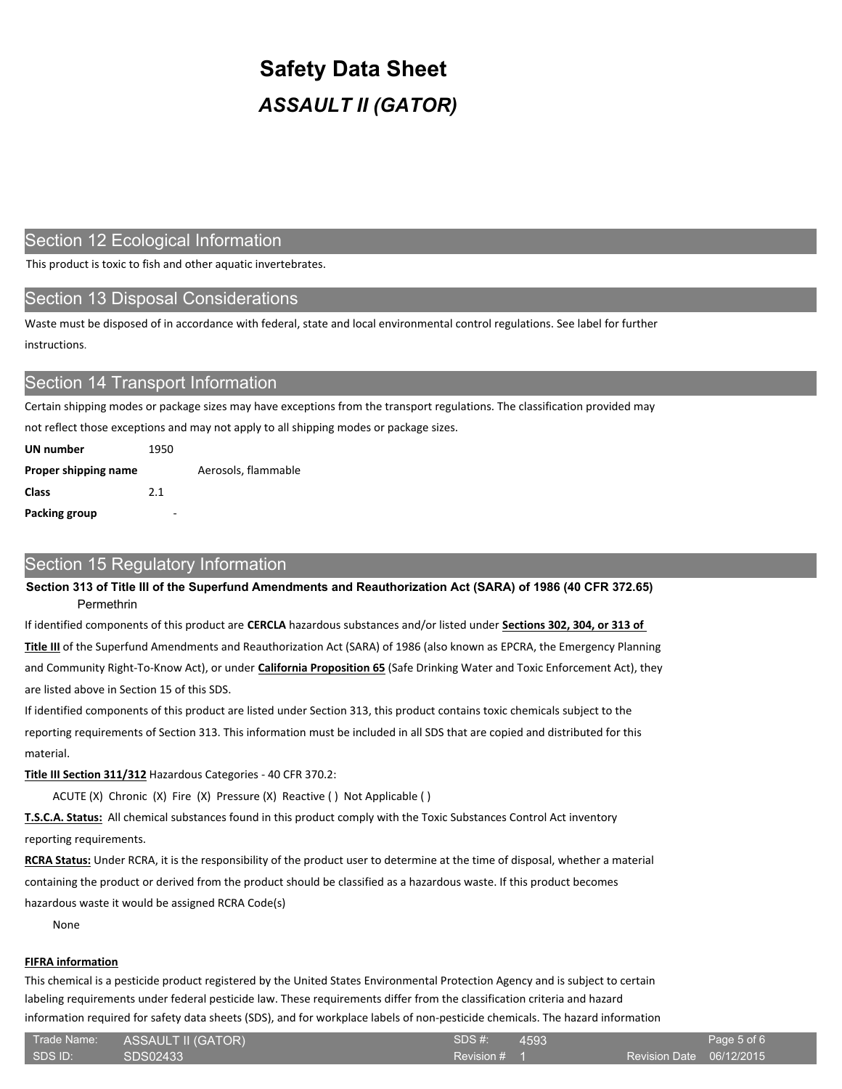## Section 12 Ecological Information

This product is toxic to fish and other aquatic invertebrates.

## Section 13 Disposal Considerations

Waste must be disposed of in accordance with federal, state and local environmental control regulations. See label for further instructions.

## Section 14 Transport Information

Certain shipping modes or package sizes may have exceptions from the transport regulations. The classification provided may

not reflect those exceptions and may not apply to all shipping modes or package sizes.

| UN number            | 1950 |                     |
|----------------------|------|---------------------|
| Proper shipping name |      | Aerosols, flammable |
| Class                | 2.1  |                     |
| Packing group        |      |                     |

## Section 15 Regulatory Information

**Section 313 of Title III of the Superfund Amendments and Reauthorization Act (SARA) of 1986 (40 CFR 372.65)** Permethrin

If identified components of this product are **CERCLA** hazardous substances and/or listed under **Sections 302, 304, or 313 of** 

**Title III** of the Superfund Amendments and Reauthorization Act (SARA) of 1986 (also known as EPCRA, the Emergency Planning and Community Right-To-Know Act), or under **California Proposition 65** (Safe Drinking Water and Toxic Enforcement Act), they are listed above in Section 15 of this SDS.

If identified components of this product are listed under Section 313, this product contains toxic chemicals subject to the reporting requirements of Section 313. This information must be included in all SDS that are copied and distributed for this material.

**Title III Section 311/312** Hazardous Categories - 40 CFR 370.2:

ACUTE (X) Chronic (X) Fire (X) Pressure (X) Reactive ( ) Not Applicable ( )

**T.S.C.A. Status:** All chemical substances found in this product comply with the Toxic Substances Control Act inventory reporting requirements.

**RCRA Status:** Under RCRA, it is the responsibility of the product user to determine at the time of disposal, whether a material containing the product or derived from the product should be classified as a hazardous waste. If this product becomes hazardous waste it would be assigned RCRA Code(s)

None

### **FIFRA information**

This chemical is a pesticide product registered by the United States Environmental Protection Agency and is subject to certain labeling requirements under federal pesticide law. These requirements differ from the classification criteria and hazard information required for safety data sheets (SDS), and for workplace labels of non-pesticide chemicals. The hazard information

| Trade Name: | <b>ASSAULT II (GATOR)</b> | SDS#:   |
|-------------|---------------------------|---------|
| SDS ID:     | SDS02433                  | Revisio |

Revision # 1 4593